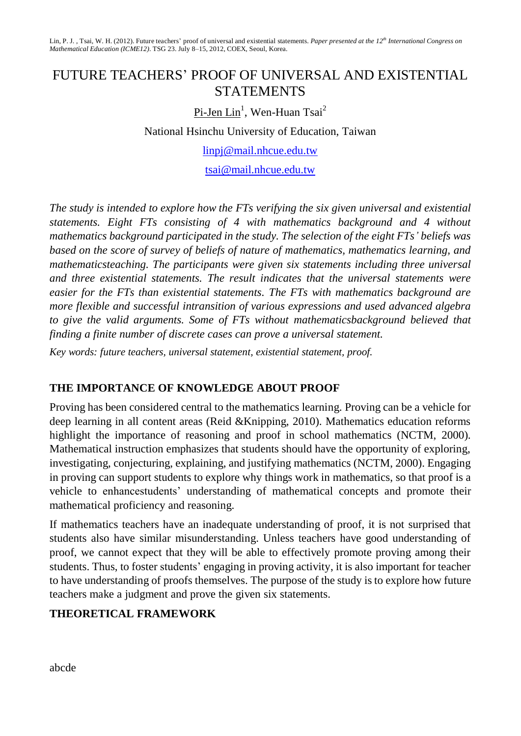Lin, P. J. , Tsai, W. H. (2012). Future teachers' proof of universal and existential statements. *Paper presented at the 12th International Congress on Mathematical Education (ICME12)*. TSG 23. July 8–15, 2012, COEX, Seoul, Korea.

# FUTURE TEACHERS' PROOF OF UNIVERSAL AND EXISTENTIAL STATEMENTS

<u>Pi-Jen Lin</u><sup>1</sup>, Wen-Huan Tsai<sup>2</sup>

National Hsinchu University of Education, Taiwan

[linpj@mail.nhcue.edu.tw](mailto:linpj@mail.nhcue.edu.tw)

[tsai@mail.nhcue.edu.tw](mailto:tsai@mail.nhcue.edu.tw)

*The study is intended to explore how the FTs verifying the six given universal and existential statements. Eight FTs consisting of 4 with mathematics background and 4 without mathematics background participated in the study. The selection of the eight FTs' beliefs was based on the score of survey of beliefs of nature of mathematics, mathematics learning, and mathematicsteaching. The participants were given six statements including three universal and three existential statements. The result indicates that the universal statements were easier for the FTs than existential statements. The FTs with mathematics background are more flexible and successful intransition of various expressions and used advanced algebra to give the valid arguments. Some of FTs without mathematicsbackground believed that finding a finite number of discrete cases can prove a universal statement.*

*Key words: future teachers, universal statement, existential statement, proof.*

## **THE IMPORTANCE OF KNOWLEDGE ABOUT PROOF**

Proving has been considered central to the mathematics learning. Proving can be a vehicle for deep learning in all content areas (Reid &Knipping, 2010). Mathematics education reforms highlight the importance of reasoning and proof in school mathematics (NCTM, 2000). Mathematical instruction emphasizes that students should have the opportunity of exploring, investigating, conjecturing, explaining, and justifying mathematics (NCTM, 2000). Engaging in proving can support students to explore why things work in mathematics, so that proof is a vehicle to enhancestudents' understanding of mathematical concepts and promote their mathematical proficiency and reasoning.

If mathematics teachers have an inadequate understanding of proof, it is not surprised that students also have similar misunderstanding. Unless teachers have good understanding of proof, we cannot expect that they will be able to effectively promote proving among their students. Thus, to foster students' engaging in proving activity, it is also important for teacher to have understanding of proofs themselves. The purpose of the study is to explore how future teachers make a judgment and prove the given six statements.

#### **THEORETICAL FRAMEWORK**

abcde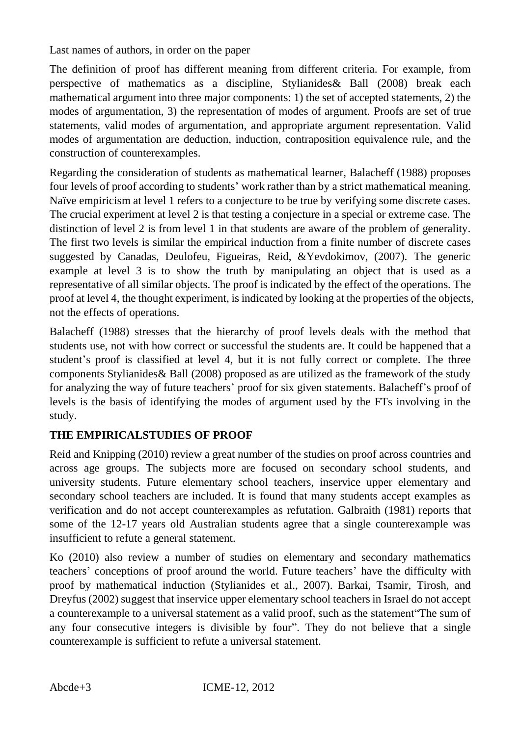The definition of proof has different meaning from different criteria. For example, from perspective of mathematics as a discipline, Stylianides& Ball (2008) break each mathematical argument into three major components: 1) the set of accepted statements, 2) the modes of argumentation, 3) the representation of modes of argument. Proofs are set of true statements, valid modes of argumentation, and appropriate argument representation. Valid modes of argumentation are deduction, induction, contraposition equivalence rule, and the construction of counterexamples.

Regarding the consideration of students as mathematical learner, Balacheff (1988) proposes four levels of proof according to students' work rather than by a strict mathematical meaning. Naïve empiricism at level 1 refers to a conjecture to be true by verifying some discrete cases. The crucial experiment at level 2 is that testing a conjecture in a special or extreme case. The distinction of level 2 is from level 1 in that students are aware of the problem of generality. The first two levels is similar the empirical induction from a finite number of discrete cases suggested by Canadas, Deulofeu, Figueiras, Reid, &Yevdokimov, (2007). The generic example at level 3 is to show the truth by manipulating an object that is used as a representative of all similar objects. The proof is indicated by the effect of the operations. The proof at level 4, the thought experiment, is indicated by looking at the properties of the objects, not the effects of operations.

Balacheff (1988) stresses that the hierarchy of proof levels deals with the method that students use, not with how correct or successful the students are. It could be happened that a student's proof is classified at level 4, but it is not fully correct or complete. The three components Stylianides& Ball (2008) proposed as are utilized as the framework of the study for analyzing the way of future teachers' proof for six given statements. Balacheff's proof of levels is the basis of identifying the modes of argument used by the FTs involving in the study.

## **THE EMPIRICALSTUDIES OF PROOF**

Reid and Knipping (2010) review a great number of the studies on proof across countries and across age groups. The subjects more are focused on secondary school students, and university students. Future elementary school teachers, inservice upper elementary and secondary school teachers are included. It is found that many students accept examples as verification and do not accept counterexamples as refutation. Galbraith (1981) reports that some of the 12-17 years old Australian students agree that a single counterexample was insufficient to refute a general statement.

Ko (2010) also review a number of studies on elementary and secondary mathematics teachers' conceptions of proof around the world. Future teachers' have the difficulty with proof by mathematical induction (Stylianides et al., 2007). Barkai, Tsamir, Tirosh, and Dreyfus (2002) suggest that inservice upper elementary school teachers in Israel do not accept a counterexample to a universal statement as a valid proof, such as the statement"The sum of any four consecutive integers is divisible by four". They do not believe that a single counterexample is sufficient to refute a universal statement.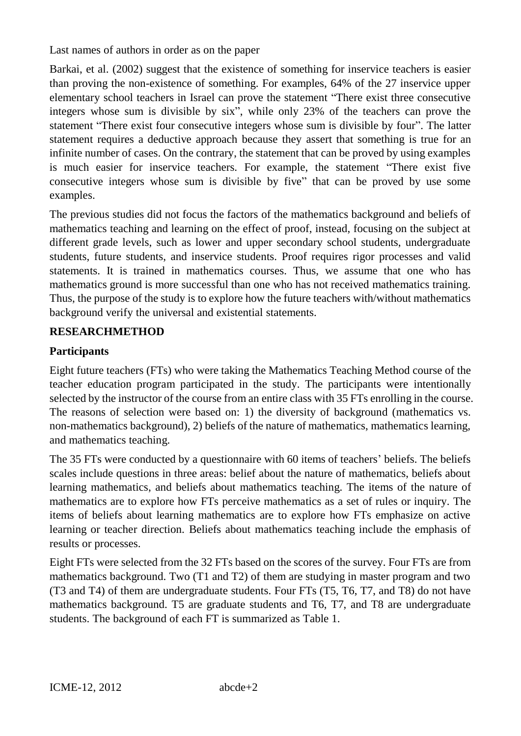Barkai, et al. (2002) suggest that the existence of something for inservice teachers is easier than proving the non-existence of something. For examples, 64% of the 27 inservice upper elementary school teachers in Israel can prove the statement "There exist three consecutive integers whose sum is divisible by six", while only 23% of the teachers can prove the statement "There exist four consecutive integers whose sum is divisible by four". The latter statement requires a deductive approach because they assert that something is true for an infinite number of cases. On the contrary, the statement that can be proved by using examples is much easier for inservice teachers. For example, the statement "There exist five consecutive integers whose sum is divisible by five" that can be proved by use some examples.

The previous studies did not focus the factors of the mathematics background and beliefs of mathematics teaching and learning on the effect of proof, instead, focusing on the subject at different grade levels, such as lower and upper secondary school students, undergraduate students, future students, and inservice students. Proof requires rigor processes and valid statements. It is trained in mathematics courses. Thus, we assume that one who has mathematics ground is more successful than one who has not received mathematics training. Thus, the purpose of the study is to explore how the future teachers with/without mathematics background verify the universal and existential statements.

## **RESEARCHMETHOD**

## **Participants**

Eight future teachers (FTs) who were taking the Mathematics Teaching Method course of the teacher education program participated in the study. The participants were intentionally selected by the instructor of the course from an entire class with 35 FTs enrolling in the course. The reasons of selection were based on: 1) the diversity of background (mathematics vs. non-mathematics background), 2) beliefs of the nature of mathematics, mathematics learning, and mathematics teaching.

The 35 FTs were conducted by a questionnaire with 60 items of teachers' beliefs. The beliefs scales include questions in three areas: belief about the nature of mathematics, beliefs about learning mathematics, and beliefs about mathematics teaching. The items of the nature of mathematics are to explore how FTs perceive mathematics as a set of rules or inquiry. The items of beliefs about learning mathematics are to explore how FTs emphasize on active learning or teacher direction. Beliefs about mathematics teaching include the emphasis of results or processes.

Eight FTs were selected from the 32 FTs based on the scores of the survey. Four FTs are from mathematics background. Two (T1 and T2) of them are studying in master program and two (T3 and T4) of them are undergraduate students. Four FTs (T5, T6, T7, and T8) do not have mathematics background. T5 are graduate students and T6, T7, and T8 are undergraduate students. The background of each FT is summarized as Table 1.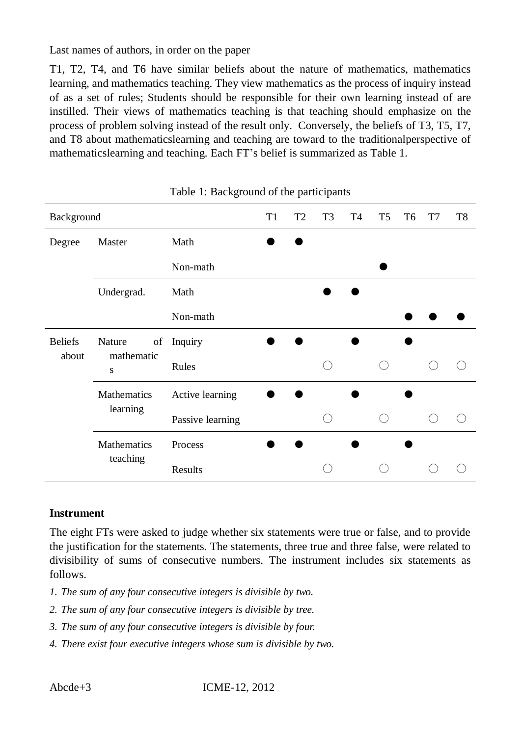T1, T2, T4, and T6 have similar beliefs about the nature of mathematics, mathematics learning, and mathematics teaching. They view mathematics as the process of inquiry instead of as a set of rules; Students should be responsible for their own learning instead of are instilled. Their views of mathematics teaching is that teaching should emphasize on the process of problem solving instead of the result only. Conversely, the beliefs of T3, T5, T7, and T8 about mathematicslearning and teaching are toward to the traditionalperspective of mathematicslearning and teaching. Each FT's belief is summarized as Table 1.

| Background     |                                         |                  | T <sub>1</sub> | T <sub>2</sub> | T <sub>3</sub> | <b>T4</b> | T <sub>5</sub> | T <sub>6</sub> | T7 | T <sub>8</sub> |
|----------------|-----------------------------------------|------------------|----------------|----------------|----------------|-----------|----------------|----------------|----|----------------|
| Degree         | Math<br>Master                          |                  |                |                |                |           |                |                |    |                |
|                |                                         | Non-math         |                |                |                |           |                |                |    |                |
|                | Undergrad.                              | Math             |                |                |                |           |                |                |    |                |
|                |                                         | Non-math         |                |                |                |           |                |                |    |                |
| <b>Beliefs</b> | Nature<br>of<br>mathematic<br>${\bf S}$ | Inquiry          |                |                |                |           |                |                |    |                |
| about          |                                         | Rules            |                |                |                |           |                |                |    |                |
|                | Mathematics<br>learning                 | Active learning  |                |                |                |           |                |                |    |                |
|                |                                         | Passive learning |                |                |                |           |                |                |    |                |
|                | Mathematics<br>teaching                 | Process          |                |                |                |           |                |                |    |                |
|                |                                         | Results          |                |                |                |           |                |                |    |                |

| Table 1: Background of the participants |  |  |
|-----------------------------------------|--|--|
|-----------------------------------------|--|--|

#### **Instrument**

The eight FTs were asked to judge whether six statements were true or false, and to provide the justification for the statements. The statements, three true and three false, were related to divisibility of sums of consecutive numbers. The instrument includes six statements as follows.

- *1. The sum of any four consecutive integers is divisible by two.*
- *2. The sum of any four consecutive integers is divisible by tree.*
- *3. The sum of any four consecutive integers is divisible by four.*
- *4. There exist four executive integers whose sum is divisible by two.*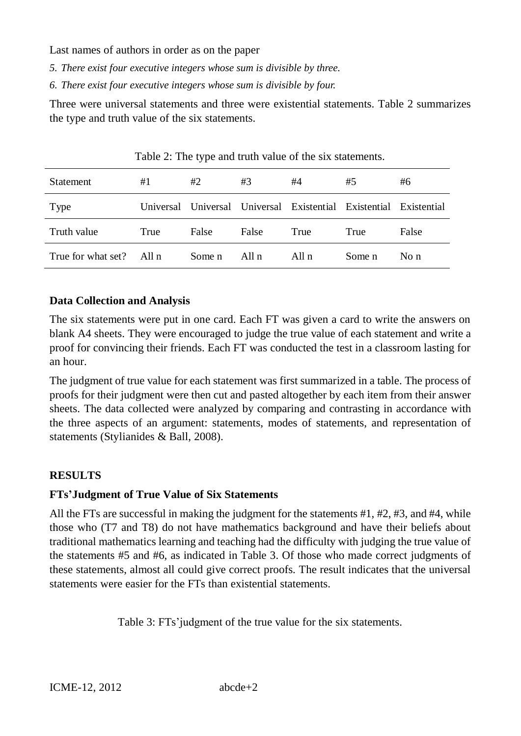- *5. There exist four executive integers whose sum is divisible by three.*
- *6. There exist four executive integers whose sum is divisible by four.*

Three were universal statements and three were existential statements. Table 2 summarizes the type and truth value of the six statements.

| Statement          | #1      | #2     | #3      | #4                                                    | #5     | #6          |
|--------------------|---------|--------|---------|-------------------------------------------------------|--------|-------------|
| Type               |         |        |         | Universal Universal Universal Existential Existential |        | Existential |
| Truth value        | True    | False  | False   | True                                                  | True   | False       |
| True for what set? | All $n$ | Some n | All $n$ | All $n$                                               | Some n | No $n$      |

Table 2: The type and truth value of the six statements.

## **Data Collection and Analysis**

The six statements were put in one card. Each FT was given a card to write the answers on blank A4 sheets. They were encouraged to judge the true value of each statement and write a proof for convincing their friends. Each FT was conducted the test in a classroom lasting for an hour.

The judgment of true value for each statement was first summarized in a table. The process of proofs for their judgment were then cut and pasted altogether by each item from their answer sheets. The data collected were analyzed by comparing and contrasting in accordance with the three aspects of an argument: statements, modes of statements, and representation of statements (Stylianides & Ball, 2008).

## **RESULTS**

## **FTs'Judgment of True Value of Six Statements**

All the FTs are successful in making the judgment for the statements #1, #2, #3, and #4, while those who (T7 and T8) do not have mathematics background and have their beliefs about traditional mathematics learning and teaching had the difficulty with judging the true value of the statements #5 and #6, as indicated in Table 3. Of those who made correct judgments of these statements, almost all could give correct proofs. The result indicates that the universal statements were easier for the FTs than existential statements.

Table 3: FTs'judgment of the true value for the six statements.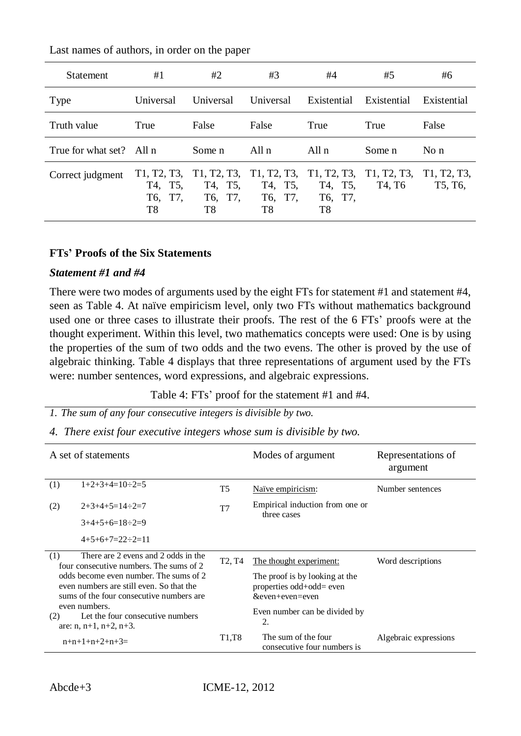| <b>Statement</b>         | #1                                      | #2                                      | #3                                                                             | #4                                      | #5                                             | #6                     |
|--------------------------|-----------------------------------------|-----------------------------------------|--------------------------------------------------------------------------------|-----------------------------------------|------------------------------------------------|------------------------|
| <b>Type</b>              | Universal                               | Universal                               | <b>Universal</b>                                                               | Existential                             | Existential                                    | Existential            |
| Truth value              | True                                    | False                                   | False                                                                          | True                                    | True                                           | False                  |
| True for what set? All n |                                         | Some n                                  | All n                                                                          | All n                                   | Some n                                         | $\overline{N}$ o n     |
| Correct judgment         | T1, T2, T3,<br>T4, T5,<br>T6, T7,<br>T8 | T1, T2, T3,<br>T4, T5,<br>T6, T7,<br>T8 | T <sub>1</sub> , T <sub>2</sub> , T <sub>3</sub> ,<br>T4, T5,<br>T6, T7,<br>T8 | T1, T2, T3,<br>T4, T5,<br>T6, T7,<br>T8 | T1, T2, T3,<br>T <sub>4</sub> , T <sub>6</sub> | T1, T2, T3,<br>T5, T6, |

#### **FTs' Proofs of the Six Statements**

#### *Statement #1 and #4*

There were two modes of arguments used by the eight FTs for statement #1 and statement #4, seen as Table 4. At naïve empiricism level, only two FTs without mathematics background used one or three cases to illustrate their proofs. The rest of the 6 FTs' proofs were at the thought experiment. Within this level, two mathematics concepts were used: One is by using the properties of the sum of two odds and the two evens. The other is proved by the use of algebraic thinking. Table 4 displays that three representations of argument used by the FTs were: number sentences, word expressions, and algebraic expressions.

Table 4: FTs' proof for the statement #1 and #4.

*1. The sum of any four consecutive integers is divisible by two.*

*4. There exist four executive integers whose sum is divisible by two.*

| A set of statements                                                                                                                                                                                                     |                                                                                |                                 | Modes of argument                                                             | Representations of<br>argument |  |
|-------------------------------------------------------------------------------------------------------------------------------------------------------------------------------------------------------------------------|--------------------------------------------------------------------------------|---------------------------------|-------------------------------------------------------------------------------|--------------------------------|--|
| (1)                                                                                                                                                                                                                     | $1+2+3+4=10 \div 2=5$                                                          | T <sub>5</sub>                  | Naïve empiricism:                                                             | Number sentences               |  |
| (2)                                                                                                                                                                                                                     | $2+3+4+5=14 \div 2=7$                                                          | T <sub>7</sub>                  | Empirical induction from one or<br>three cases                                |                                |  |
|                                                                                                                                                                                                                         | $3+4+5+6=18 \div 2=9$                                                          |                                 |                                                                               |                                |  |
|                                                                                                                                                                                                                         | $4+5+6+7=22 \div 2=11$                                                         |                                 |                                                                               |                                |  |
| There are 2 evens and 2 odds in the<br>(1)<br>four consecutive numbers. The sums of 2<br>odds become even number. The sums of 2<br>even numbers are still even. So that the<br>sums of the four consecutive numbers are |                                                                                | T <sub>2</sub> , T <sub>4</sub> | The thought experiment:                                                       | Word descriptions              |  |
|                                                                                                                                                                                                                         |                                                                                |                                 | The proof is by looking at the<br>properties odd+odd= even<br>&even+even=even |                                |  |
| (2)                                                                                                                                                                                                                     | even numbers.<br>Let the four consecutive numbers<br>are: $n, n+1, n+2, n+3$ . |                                 | Even number can be divided by<br>2.                                           |                                |  |
| $n+n+1+n+2+n+3=$                                                                                                                                                                                                        |                                                                                | T <sub>1</sub> ,T <sub>8</sub>  | The sum of the four<br>consecutive four numbers is                            | Algebraic expressions          |  |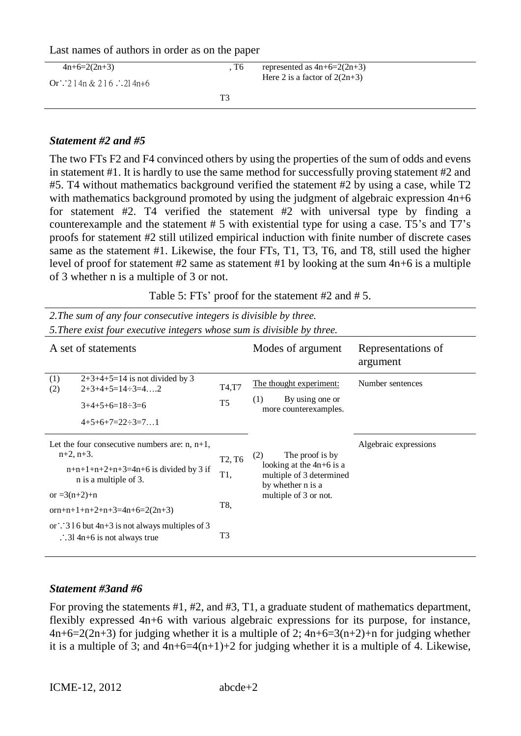| $4n+6=2(2n+3)$<br>Or: $214n \& 216$ . $214n+6$ | . T6 | represented as $4n+6=2(2n+3)$<br>Here 2 is a factor of $2(2n+3)$ |
|------------------------------------------------|------|------------------------------------------------------------------|
|                                                | ፐን   |                                                                  |

#### *Statement #2 and #5*

The two FTs F2 and F4 convinced others by using the properties of the sum of odds and evens in statement #1. It is hardly to use the same method for successfully proving statement #2 and #5. T4 without mathematics background verified the statement #2 by using a case, while T2 with mathematics background promoted by using the judgment of algebraic expression  $4n+6$ for statement #2. T4 verified the statement #2 with universal type by finding a counterexample and the statement # 5 with existential type for using a case. T5's and T7's proofs for statement #2 still utilized empirical induction with finite number of discrete cases same as the statement #1. Likewise, the four FTs, T1, T3, T6, and T8, still used the higher level of proof for statement #2 same as statement #1 by looking at the sum 4n+6 is a multiple of 3 whether n is a multiple of 3 or not.

Table 5: FTs' proof for the statement #2 and # 5.

| 2. The sum of any four consecutive integers is divisible by three.<br>5. There exist four executive integers whose sum is divisible by three. |                                 |                                                                             |                                |  |  |  |
|-----------------------------------------------------------------------------------------------------------------------------------------------|---------------------------------|-----------------------------------------------------------------------------|--------------------------------|--|--|--|
| A set of statements                                                                                                                           |                                 | Modes of argument                                                           | Representations of<br>argument |  |  |  |
| $2+3+4+5=14$ is not divided by 3<br>(1)<br>$2+3+4+5=14 \div 3=4$ 2<br>(2)                                                                     | T4,T7                           | The thought experiment:                                                     | Number sentences               |  |  |  |
| $3+4+5+6=18 \div 3=6$                                                                                                                         | T <sub>5</sub>                  | By using one or<br>(1)<br>more counterexamples.                             |                                |  |  |  |
| $4+5+6+7=22 \div 3=71$                                                                                                                        |                                 |                                                                             |                                |  |  |  |
| Let the four consecutive numbers are: $n, n+1$ ,<br>$n+2$ , $n+3$ .                                                                           | T <sub>2</sub> , T <sub>6</sub> | The proof is by<br>(2)                                                      | Algebraic expressions          |  |  |  |
| $n+n+1+n+2+n+3=4n+6$ is divided by 3 if<br>n is a multiple of 3.                                                                              | T1,                             | looking at the $4n+6$ is a<br>multiple of 3 determined<br>by whether n is a |                                |  |  |  |
| or $=3(n+2)+n$                                                                                                                                | T8,                             | multiple of 3 or not.                                                       |                                |  |  |  |
| orn+n+1+n+2+n+3=4n+6=2(2n+3)                                                                                                                  |                                 |                                                                             |                                |  |  |  |
| or $\therefore$ 3 l 6 but 4n+3 is not always multiples of 3<br>$\therefore$ 31 4n+6 is not always true                                        | T <sub>3</sub>                  |                                                                             |                                |  |  |  |

#### *Statement #3and #6*

For proving the statements #1, #2, and #3, T1, a graduate student of mathematics department, flexibly expressed 4n+6 with various algebraic expressions for its purpose, for instance,  $4n+6=2(2n+3)$  for judging whether it is a multiple of 2;  $4n+6=3(n+2)+n$  for judging whether it is a multiple of 3; and  $4n+6=4(n+1)+2$  for judging whether it is a multiple of 4. Likewise,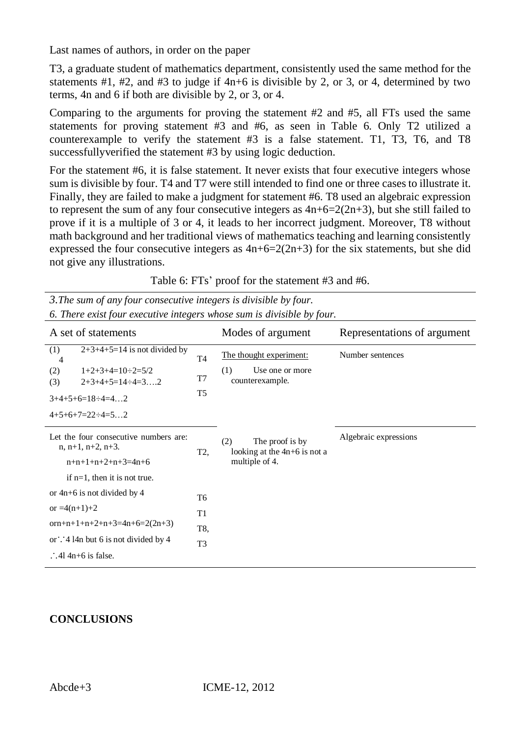T3, a graduate student of mathematics department, consistently used the same method for the statements  $#1, #2,$  and  $#3$  to judge if  $4n+6$  is divisible by 2, or 3, or 4, determined by two terms, 4n and 6 if both are divisible by 2, or 3, or 4.

Comparing to the arguments for proving the statement #2 and #5, all FTs used the same statements for proving statement #3 and #6, as seen in Table 6. Only T2 utilized a counterexample to verify the statement #3 is a false statement. T1, T3, T6, and T8 successfullyverified the statement #3 by using logic deduction.

For the statement #6, it is false statement. It never exists that four executive integers whose sum is divisible by four. T4 and T7 were still intended to find one or three cases to illustrate it. Finally, they are failed to make a judgment for statement #6. T8 used an algebraic expression to represent the sum of any four consecutive integers as  $4n+6=2(2n+3)$ , but she still failed to prove if it is a multiple of 3 or 4, it leads to her incorrect judgment. Moreover, T8 without math background and her traditional views of mathematics teaching and learning consistently expressed the four consecutive integers as  $4n+6=2(2n+3)$  for the six statements, but she did not give any illustrations.

*3.The sum of any four consecutive integers is divisible by four. 6. There exist four executive integers whose sum is divisible by four.*

| A set of statements                                              |                | Modes of argument                                        | Representations of argument |
|------------------------------------------------------------------|----------------|----------------------------------------------------------|-----------------------------|
| $2+3+4+5=14$ is not divided by<br>(1)<br>4                       | T4             | The thought experiment:                                  | Number sentences            |
| $1+2+3+4=10 \div 2=5/2$<br>(2)<br>$2+3+4+5=14 \div 4=3$ 2<br>(3) | T7             | (1)<br>Use one or more<br>counterexample.                |                             |
| $3+4+5+6=18 \div 4=42$                                           | T <sub>5</sub> |                                                          |                             |
| $4+5+6+7=22 \div 4=52$                                           |                |                                                          |                             |
| Let the four consecutive numbers are:<br>$n, n+1, n+2, n+3.$     |                | The proof is by<br>(2)<br>looking at the $4n+6$ is not a | Algebraic expressions       |
| $n+n+1+n+2+n+3=4n+6$                                             |                | multiple of 4.                                           |                             |
| if $n=1$ , then it is not true.                                  |                |                                                          |                             |
| or $4n+6$ is not divided by 4                                    | T6             |                                                          |                             |
| or $=4(n+1)+2$<br>T1                                             |                |                                                          |                             |
| orn+n+1+n+2+n+3=4n+6=2(2n+3)<br>T8,                              |                |                                                          |                             |
| or $\therefore$ 4 14n but 6 is not divided by 4                  |                |                                                          |                             |
| $\therefore$ 41 4n+6 is false.                                   |                |                                                          |                             |

# **CONCLUSIONS**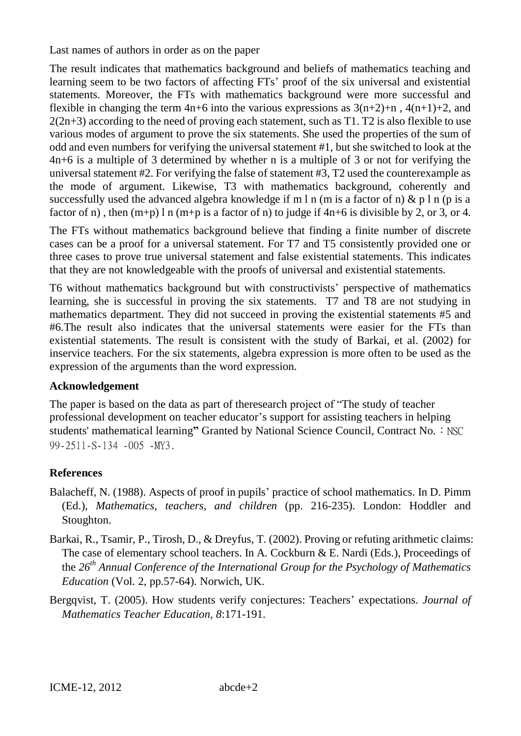The result indicates that mathematics background and beliefs of mathematics teaching and learning seem to be two factors of affecting FTs' proof of the six universal and existential statements. Moreover, the FTs with mathematics background were more successful and flexible in changing the term  $4n+6$  into the various expressions as  $3(n+2)+n$ ,  $4(n+1)+2$ , and  $2(2n+3)$  according to the need of proving each statement, such as T1. T2 is also flexible to use various modes of argument to prove the six statements. She used the properties of the sum of odd and even numbers for verifying the universal statement #1, but she switched to look at the 4n+6 is a multiple of 3 determined by whether n is a multiple of 3 or not for verifying the universal statement #2. For verifying the false of statement #3, T2 used the counterexample as the mode of argument. Likewise, T3 with mathematics background, coherently and successfully used the advanced algebra knowledge if m l n (m is a factor of n)  $\&$  p l n (p is a factor of n), then  $(m+p)$  l n  $(m+p)$  is a factor of n) to judge if  $4n+6$  is divisible by 2, or 3, or 4.

The FTs without mathematics background believe that finding a finite number of discrete cases can be a proof for a universal statement. For T7 and T5 consistently provided one or three cases to prove true universal statement and false existential statements. This indicates that they are not knowledgeable with the proofs of universal and existential statements.

T6 without mathematics background but with constructivists' perspective of mathematics learning, she is successful in proving the six statements. T7 and T8 are not studying in mathematics department. They did not succeed in proving the existential statements #5 and #6.The result also indicates that the universal statements were easier for the FTs than existential statements. The result is consistent with the study of Barkai, et al. (2002) for inservice teachers. For the six statements, algebra expression is more often to be used as the expression of the arguments than the word expression.

## **Acknowledgement**

The paper is based on the data as part of theresearch project of "The study of teacher professional development on teacher educator's support for assisting teachers in helping students' mathematical learning" Granted by National Science Council, Contract No.: NSC 99-2511-S-134 -005 -MY3.

# **References**

- Balacheff, N. (1988). Aspects of proof in pupils' practice of school mathematics. In D. Pimm (Ed.), *Mathematics, teachers, and children* (pp. 216-235). London: Hoddler and Stoughton.
- Barkai, R., Tsamir, P., Tirosh, D., & Dreyfus, T. (2002). Proving or refuting arithmetic claims: The case of elementary school teachers. In A. Cockburn & E. Nardi (Eds.), Proceedings of the *26th Annual Conference of the International Group for the Psychology of Mathematics Education* (Vol. 2, pp.57-64). Norwich, UK.
- Bergqvist, T. (2005). How students verify conjectures: Teachers' expectations. *Journal of Mathematics Teacher Education, 8*:171-191.